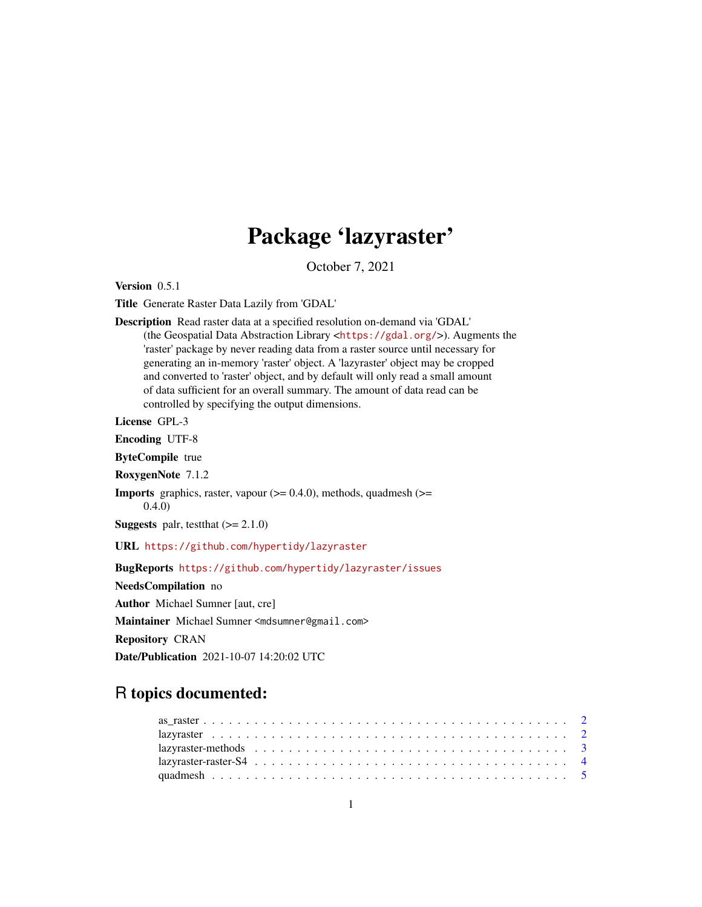## Package 'lazyraster'

October 7, 2021

<span id="page-0-0"></span>Version 0.5.1

Title Generate Raster Data Lazily from 'GDAL'

Description Read raster data at a specified resolution on-demand via 'GDAL' (the Geospatial Data Abstraction Library <<https://gdal.org/>>). Augments the 'raster' package by never reading data from a raster source until necessary for generating an in-memory 'raster' object. A 'lazyraster' object may be cropped and converted to 'raster' object, and by default will only read a small amount of data sufficient for an overall summary. The amount of data read can be controlled by specifying the output dimensions.

License GPL-3

Encoding UTF-8

ByteCompile true

RoxygenNote 7.1.2

**Imports** graphics, raster, vapour  $(>= 0.4.0)$ , methods, quadmesh  $(>= 0.4.0)$ 0.4.0)

**Suggests** palr, test that  $(>= 2.1.0)$ 

URL <https://github.com/hypertidy/lazyraster>

BugReports <https://github.com/hypertidy/lazyraster/issues>

NeedsCompilation no

Author Michael Sumner [aut, cre]

Maintainer Michael Sumner <mdsumner@gmail.com>

Repository CRAN

Date/Publication 2021-10-07 14:20:02 UTC

## R topics documented: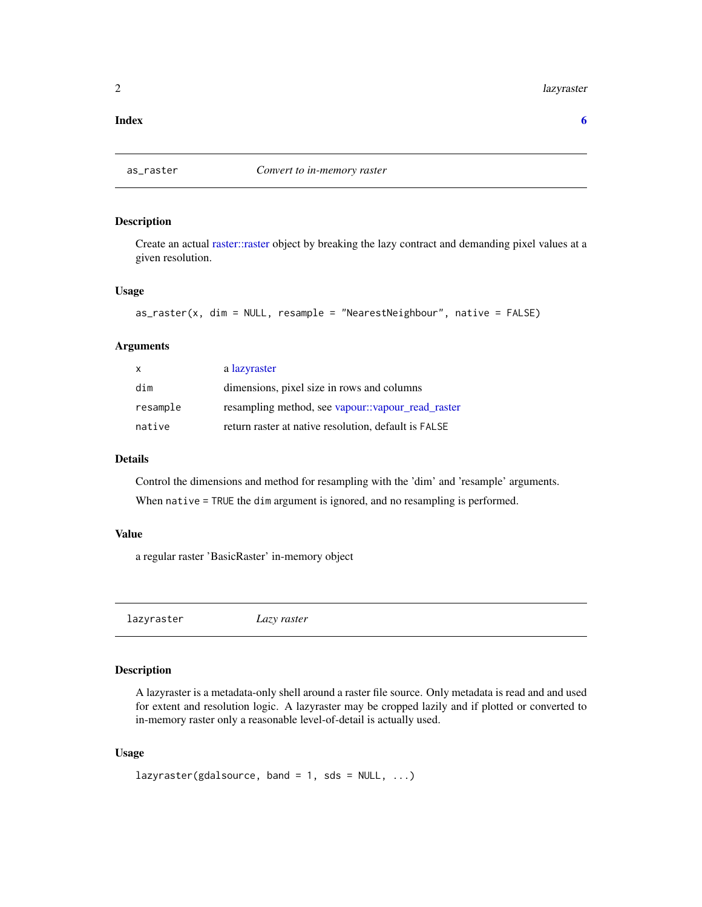#### <span id="page-1-0"></span>2 lazyraster and the state of the state of the state of the state of the state of the state of the state of the state of the state of the state of the state of the state of the state of the state of the state of the state

#### **Index** [6](#page-5-0) **6**

<span id="page-1-2"></span>

## Description

Create an actual [raster::raster](#page-0-0) object by breaking the lazy contract and demanding pixel values at a given resolution.

## Usage

```
as_raster(x, dim = NULL, resample = "NearestNeighbour", native = FALSE)
```
## Arguments

| X        | a lazyraster                                         |
|----------|------------------------------------------------------|
| dim      | dimensions, pixel size in rows and columns           |
| resample | resampling method, see vapour::vapour_read_raster    |
| native   | return raster at native resolution, default is FALSE |

#### Details

Control the dimensions and method for resampling with the 'dim' and 'resample' arguments. When native = TRUE the dim argument is ignored, and no resampling is performed.

## Value

a regular raster 'BasicRaster' in-memory object

<span id="page-1-1"></span>lazyraster *Lazy raster*

#### Description

A lazyraster is a metadata-only shell around a raster file source. Only metadata is read and and used for extent and resolution logic. A lazyraster may be cropped lazily and if plotted or converted to in-memory raster only a reasonable level-of-detail is actually used.

#### Usage

lazyraster(gdalsource, band = 1, sds =  $NULL, ...)$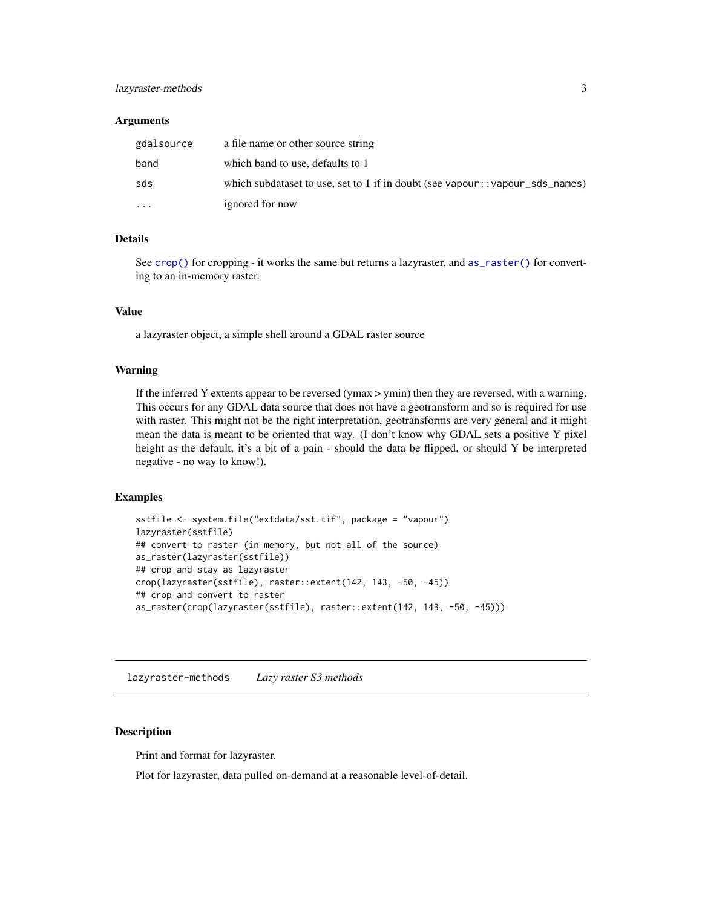## <span id="page-2-0"></span>lazyraster-methods 3

#### Arguments

| gdalsource | a file name or other source string                                             |
|------------|--------------------------------------------------------------------------------|
| band       | which band to use, defaults to 1                                               |
| sds        | which subdataset to use, set to 1 if in doubt (see vapour: : vapour_sds_names) |
| $\cdots$   | ignored for now                                                                |

## Details

See [crop\(\)](#page-3-1) for cropping - it works the same but returns a lazyraster, and [as\\_raster\(\)](#page-1-2) for converting to an in-memory raster.

#### Value

a lazyraster object, a simple shell around a GDAL raster source

#### Warning

If the inferred Y extents appear to be reversed (ymax  $>$  ymin) then they are reversed, with a warning. This occurs for any GDAL data source that does not have a geotransform and so is required for use with raster. This might not be the right interpretation, geotransforms are very general and it might mean the data is meant to be oriented that way. (I don't know why GDAL sets a positive Y pixel height as the default, it's a bit of a pain - should the data be flipped, or should Y be interpreted negative - no way to know!).

## Examples

```
sstfile <- system.file("extdata/sst.tif", package = "vapour")
lazyraster(sstfile)
## convert to raster (in memory, but not all of the source)
as_raster(lazyraster(sstfile))
## crop and stay as lazyraster
crop(lazyraster(sstfile), raster::extent(142, 143, -50, -45))
## crop and convert to raster
as_raster(crop(lazyraster(sstfile), raster::extent(142, 143, -50, -45)))
```
lazyraster-methods *Lazy raster S3 methods*

#### **Description**

Print and format for lazyraster.

Plot for lazyraster, data pulled on-demand at a reasonable level-of-detail.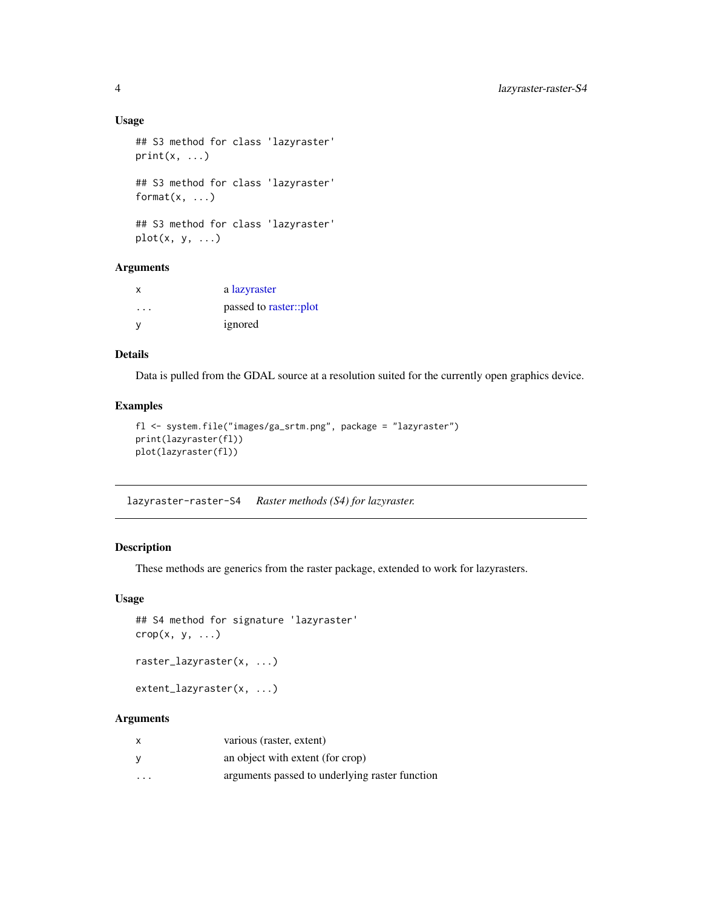## Usage

```
## S3 method for class 'lazyraster'
print(x, \ldots)## S3 method for class 'lazyraster'
format(x, \ldots)## S3 method for class 'lazyraster'
plot(x, y, ...)
```
#### Arguments

| x        | a lazyraster           |
|----------|------------------------|
| .        | passed to raster::plot |
| <b>V</b> | ignored                |

## Details

Data is pulled from the GDAL source at a resolution suited for the currently open graphics device.

## Examples

```
fl <- system.file("images/ga_srtm.png", package = "lazyraster")
print(lazyraster(fl))
plot(lazyraster(fl))
```
lazyraster-raster-S4 *Raster methods (S4) for lazyraster.*

## <span id="page-3-1"></span>Description

These methods are generics from the raster package, extended to work for lazyrasters.

#### Usage

```
## S4 method for signature 'lazyraster'
\text{crop}(x, y, \ldots)
```

```
raster_lazyraster(x, ...)
```

```
extent_lazyraster(x, ...)
```
## Arguments

| $\times$ | various (raster, extent)                       |
|----------|------------------------------------------------|
| y        | an object with extent (for crop)               |
| $\cdot$  | arguments passed to underlying raster function |

<span id="page-3-0"></span>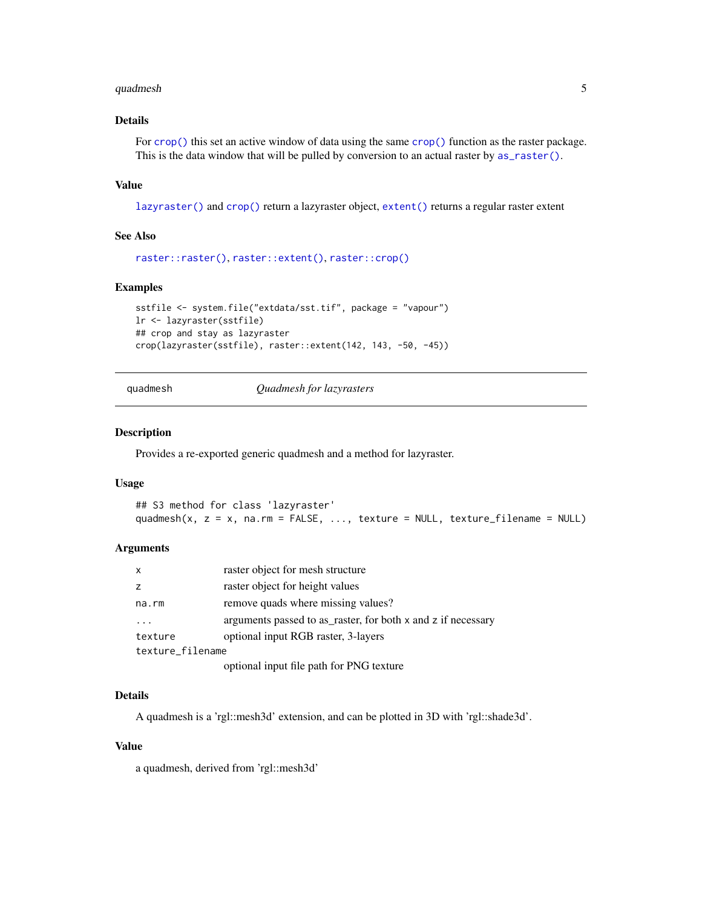#### <span id="page-4-0"></span>quadmesh 5 and 5 and 5 and 5 and 5 and 5 and 5 and 5 and 5 and 5 and 5 and 5 and 5 and 5 and 5 and 5 and 5 and 5 and 5 and 5 and 5 and 5 and 5 and 5 and 5 and 5 and 5 and 5 and 5 and 5 and 5 and 5 and 5 and 5 and 5 and 5 a

## Details

For [crop\(\)](#page-3-1) this set an active window of data using the same crop() function as the raster package. This is the data window that will be pulled by conversion to an actual raster by  $as\_raster()$ .

#### Value

[lazyraster\(\)](#page-1-1) and [crop\(\)](#page-3-1) return a lazyraster object, [extent\(\)](#page-3-1) returns a regular raster extent

#### See Also

```
raster::raster(), raster::extent(), raster::crop()
```
#### Examples

```
sstfile <- system.file("extdata/sst.tif", package = "vapour")
lr <- lazyraster(sstfile)
## crop and stay as lazyraster
crop(lazyraster(sstfile), raster::extent(142, 143, -50, -45))
```
quadmesh *Quadmesh for lazyrasters*

#### Description

Provides a re-exported generic quadmesh and a method for lazyraster.

#### Usage

```
## S3 method for class 'lazyraster'
quadmesh(x, z = x, na.rm = FALSE, ..., texture = NULL, texture_filename = NULL)
```
#### Arguments

| $\mathsf{x}$     | raster object for mesh structure                             |
|------------------|--------------------------------------------------------------|
| z                | raster object for height values                              |
| na.rm            | remove quads where missing values?                           |
|                  | arguments passed to as raster, for both x and z if necessary |
| texture          | optional input RGB raster, 3-layers                          |
| texture_filename |                                                              |
|                  | optional input file path for PNG texture                     |

#### Details

A quadmesh is a 'rgl::mesh3d' extension, and can be plotted in 3D with 'rgl::shade3d'.

#### Value

a quadmesh, derived from 'rgl::mesh3d'